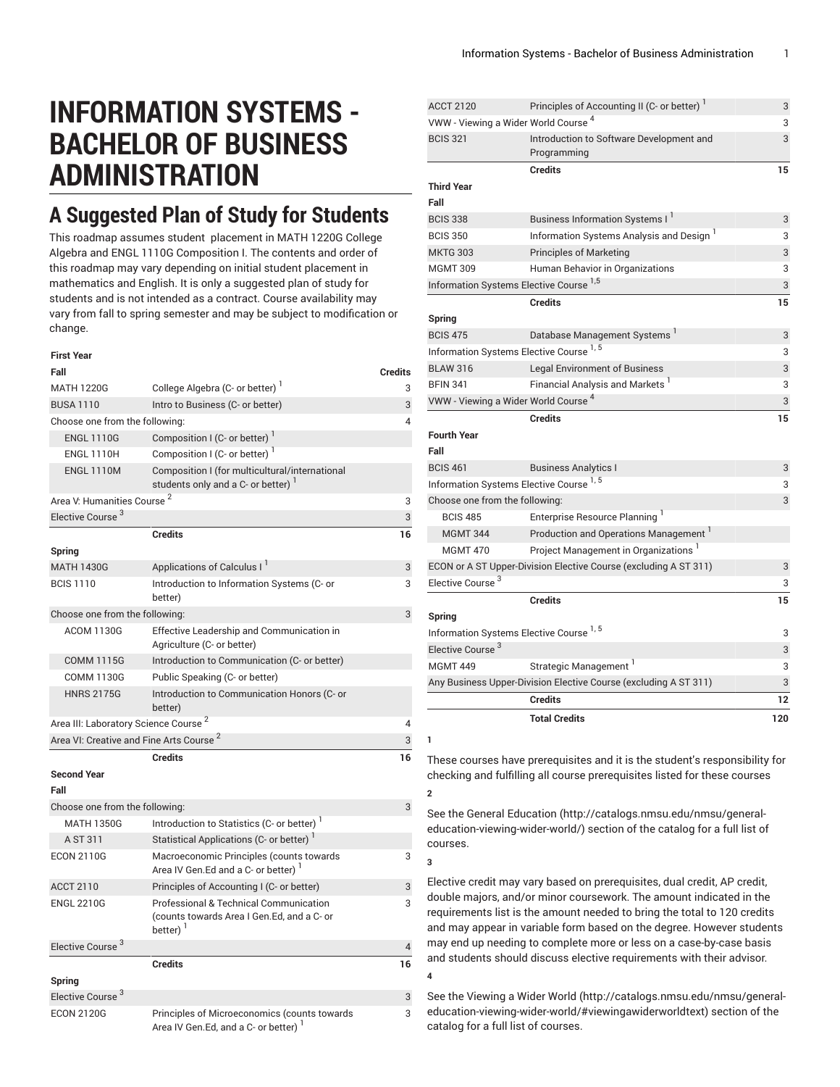## **INFORMATION SYSTEMS - BACHELOR OF BUSINESS ADMINISTRATION**

## **A Suggested Plan of Study for Students**

This roadmap assumes student placement in MATH 1220G College Algebra and ENGL 1110G Composition I. The contents and order of this roadmap may vary depending on initial student placement in mathematics and English. It is only a suggested plan of study for students and is not intended as a contract. Course availability may vary from fall to spring semester and may be subject to modification or change.

**First Year**

| rırsı rear                                          |                                                                                                                |                |
|-----------------------------------------------------|----------------------------------------------------------------------------------------------------------------|----------------|
| Fall                                                |                                                                                                                | <b>Credits</b> |
| <b>MATH 1220G</b>                                   | College Algebra (C- or better)                                                                                 | 3              |
| <b>BUSA 1110</b>                                    | Intro to Business (C- or better)                                                                               | 3              |
| Choose one from the following:                      |                                                                                                                | 4              |
| <b>ENGL 1110G</b>                                   | Composition I (C- or better)                                                                                   |                |
| <b>ENGL 1110H</b>                                   | Composition I (C- or better) <sup>1</sup>                                                                      |                |
| <b>ENGL 1110M</b>                                   | Composition I (for multicultural/international<br>students only and a C- or better) <sup>1</sup>               |                |
| Area V: Humanities Course <sup>2</sup>              |                                                                                                                | 3              |
| Elective Course <sup>3</sup>                        |                                                                                                                | 3              |
|                                                     | <b>Credits</b>                                                                                                 | 16             |
| <b>Spring</b>                                       |                                                                                                                |                |
| <b>MATH 1430G</b>                                   | Applications of Calculus I <sup>I</sup>                                                                        | 3              |
| <b>BCIS 1110</b>                                    | Introduction to Information Systems (C- or<br>better)                                                          | 3              |
| Choose one from the following:                      |                                                                                                                | 3              |
| <b>ACOM 1130G</b>                                   | Effective Leadership and Communication in<br>Agriculture (C- or better)                                        |                |
| <b>COMM 1115G</b>                                   | Introduction to Communication (C- or better)                                                                   |                |
| <b>COMM 1130G</b>                                   | Public Speaking (C- or better)                                                                                 |                |
| <b>HNRS 2175G</b>                                   | Introduction to Communication Honors (C- or<br>better)                                                         |                |
| Area III: Laboratory Science Course <sup>2</sup>    |                                                                                                                | 4              |
| Area VI: Creative and Fine Arts Course <sup>2</sup> |                                                                                                                | 3              |
|                                                     | <b>Credits</b>                                                                                                 | 16             |
| <b>Second Year</b>                                  |                                                                                                                |                |
| Fall                                                |                                                                                                                |                |
| Choose one from the following:                      |                                                                                                                | 3              |
| <b>MATH 1350G</b>                                   | Introduction to Statistics (C- or better) <sup>1</sup>                                                         |                |
| A ST 311                                            | Statistical Applications (C- or better) <sup>1</sup>                                                           |                |
| <b>ECON 2110G</b>                                   | Macroeconomic Principles (counts towards<br>Area IV Gen.Ed and a C- or better)                                 | 3              |
| <b>ACCT 2110</b>                                    | Principles of Accounting I (C- or better)                                                                      | 3              |
| <b>ENGL 2210G</b>                                   | Professional & Technical Communication<br>(counts towards Area I Gen.Ed, and a C- or<br>$better)$ <sup>1</sup> | 3              |
| Elective Course <sup>3</sup>                        |                                                                                                                | 4              |
| Spring                                              | <b>Credits</b>                                                                                                 | 16             |
| Elective Course <sup>3</sup>                        |                                                                                                                | 3              |
| <b>ECON 2120G</b>                                   | Principles of Microeconomics (counts towards                                                                   | 3              |
|                                                     | Area IV Gen.Ed, and a C- or better)                                                                            |                |

| <b>ACCT 2120</b>                                | Principles of Accounting II (C- or better) <sup>1</sup>          | 3  |
|-------------------------------------------------|------------------------------------------------------------------|----|
| VWW - Viewing a Wider World Course <sup>4</sup> |                                                                  | 3  |
| <b>BCIS 321</b>                                 | Introduction to Software Development and<br>Programming          | 3  |
|                                                 | <b>Credits</b>                                                   | 15 |
| <b>Third Year</b>                               |                                                                  |    |
| Fall                                            |                                                                  |    |
| <b>BCIS 338</b>                                 | Business Information Systems I <sup>1</sup>                      | 3  |
| <b>BCIS 350</b>                                 | Information Systems Analysis and Design <sup>1</sup>             | 3  |
| <b>MKTG 303</b>                                 | <b>Principles of Marketing</b>                                   | 3  |
| <b>MGMT 309</b>                                 | Human Behavior in Organizations                                  | 3  |
|                                                 | Information Systems Elective Course <sup>1,5</sup>               | 3  |
|                                                 | <b>Credits</b>                                                   | 15 |
| Spring                                          |                                                                  |    |
| <b>BCIS 475</b>                                 | Database Management Systems                                      | 3  |
|                                                 | Information Systems Elective Course <sup>1,5</sup>               | 3  |
| <b>BLAW 316</b>                                 | <b>Legal Environment of Business</b>                             | 3  |
| <b>BFIN 341</b>                                 | Financial Analysis and Markets <sup>1</sup>                      | 3  |
|                                                 | VWW - Viewing a Wider World Course <sup>4</sup>                  | 3  |
|                                                 | <b>Credits</b>                                                   | 15 |
| <b>Fourth Year</b>                              |                                                                  |    |
|                                                 |                                                                  |    |
| Fall                                            |                                                                  |    |
| <b>BCIS 461</b>                                 | <b>Business Analytics I</b>                                      | 3  |
|                                                 | Information Systems Elective Course <sup>1,5</sup>               | 3  |
| Choose one from the following:                  |                                                                  | 3  |
| <b>BCIS 485</b>                                 | Enterprise Resource Planning <sup>1</sup>                        |    |
| <b>MGMT 344</b>                                 | Production and Operations Management <sup>1</sup>                |    |
| <b>MGMT 470</b>                                 | Project Management in Organizations <sup>1</sup>                 |    |
|                                                 | ECON or A ST Upper-Division Elective Course (excluding A ST 311) | 3  |
| Elective Course <sup>3</sup>                    |                                                                  | 3  |
|                                                 | <b>Credits</b>                                                   | 15 |
| Spring                                          |                                                                  |    |
|                                                 | Information Systems Elective Course <sup>1,5</sup>               | 3  |
| Elective Course <sup>3</sup>                    |                                                                  | 3  |
| <b>MGMT 449</b>                                 | Strategic Management <sup>1</sup>                                | 3  |
|                                                 | Any Business Upper-Division Elective Course (excluding A ST 311) | 3  |
|                                                 | <b>Credits</b>                                                   | 12 |

**1**

**3**

These courses have prerequisites and it is the student's responsibility for checking and fulfilling all course prerequisites listed for these courses **2**

See the General [Education](http://catalogs.nmsu.edu/nmsu/general-education-viewing-wider-world/) ([http://catalogs.nmsu.edu/nmsu/general](http://catalogs.nmsu.edu/nmsu/general-education-viewing-wider-world/)[education-viewing-wider-world/\)](http://catalogs.nmsu.edu/nmsu/general-education-viewing-wider-world/) section of the catalog for a full list of courses.

Elective credit may vary based on prerequisites, dual credit, AP credit, double majors, and/or minor coursework. The amount indicated in the requirements list is the amount needed to bring the total to 120 credits and may appear in variable form based on the degree. However students may end up needing to complete more or less on a case-by-case basis and students should discuss elective requirements with their advisor. **4**

See the [Viewing](http://catalogs.nmsu.edu/nmsu/general-education-viewing-wider-world/#viewingawiderworldtext) a Wider World [\(http://catalogs.nmsu.edu/nmsu/general](http://catalogs.nmsu.edu/nmsu/general-education-viewing-wider-world/#viewingawiderworldtext)[education-viewing-wider-world/#viewingawiderworldtext\)](http://catalogs.nmsu.edu/nmsu/general-education-viewing-wider-world/#viewingawiderworldtext) section of the catalog for a full list of courses.